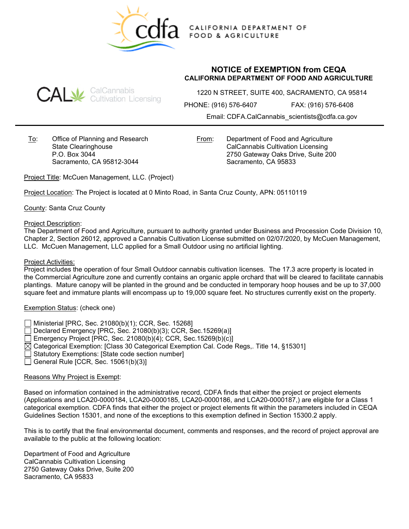

CALIFORNIA DEPARTMENT OF **FOOD & AGRICULTURE** 

## **CAL** SalCannabis<br>CAL Gultivation Licensing

**NOTICE of EXEMPTION from CEQA CALIFORNIA DEPARTMENT OF FOOD AND AGRICULTURE**

1220 N STREET, SUITE 400, SACRAMENTO, CA 95814

PHONE: (916) 576-6407 FAX: (916) 576-6408

Email: CDFA.CalCannabis\_scientists@cdfa.ca.gov

To: Office of Planning and Research State Clearinghouse P.O. Box 3044 Sacramento, CA 95812-3044

From: Department of Food and Agriculture CalCannabis Cultivation Licensing 2750 Gateway Oaks Drive, Suite 200 Sacramento, CA 95833

Project Title: McCuen Management, LLC. (Project)

Project Location: The Project is located at 0 Minto Road, in Santa Cruz County, APN: 05110119

County: Santa Cruz County

Project Description:

The Department of Food and Agriculture, pursuant to authority granted under Business and Procession Code Division 10, Chapter 2, Section 26012, approved a Cannabis Cultivation License submitted on 02/07/2020, by McCuen Management, LLC. McCuen Management, LLC applied for a Small Outdoor using no artificial lighting.

## Project Activities:

Project includes the operation of four Small Outdoor cannabis cultivation licenses. The 17.3 acre property is located in the Commercial Agriculture zone and currently contains an organic apple orchard that will be cleared to facilitate cannabis plantings. Mature canopy will be planted in the ground and be conducted in temporary hoop houses and be up to 37,000 square feet and immature plants will encompass up to 19,000 square feet. No structures currently exist on the property.

## Exemption Status: (check one)

- Ministerial [PRC, Sec. 21080(b)(1); CCR, Sec. 15268]
- $\Box$  Declared Emergency [PRC, Sec. 21080(b)(3); CCR, Sec. 15269(a)]
- Emergency Project [PRC, Sec. 21080(b)(4); CCR, Sec.15269(b)(c)]
- $\boxtimes$  Categorical Exemption: [Class 30 Categorical Exemption Cal. Code Regs,. Title 14, §15301]
- Statutory Exemptions: [State code section number]
- General Rule [CCR, Sec. 15061(b)(3)]

## Reasons Why Project is Exempt:

Based on information contained in the administrative record, CDFA finds that either the project or project elements (Applications and LCA20-0000184, LCA20-0000185, LCA20-0000186, and LCA20-0000187,) are eligible for a Class 1 categorical exemption. CDFA finds that either the project or project elements fit within the parameters included in CEQA Guidelines Section 15301, and none of the exceptions to this exemption defined in Section 15300.2 apply.

This is to certify that the final environmental document, comments and responses, and the record of project approval are available to the public at the following location:

Department of Food and Agriculture CalCannabis Cultivation Licensing 2750 Gateway Oaks Drive, Suite 200 Sacramento, CA 95833